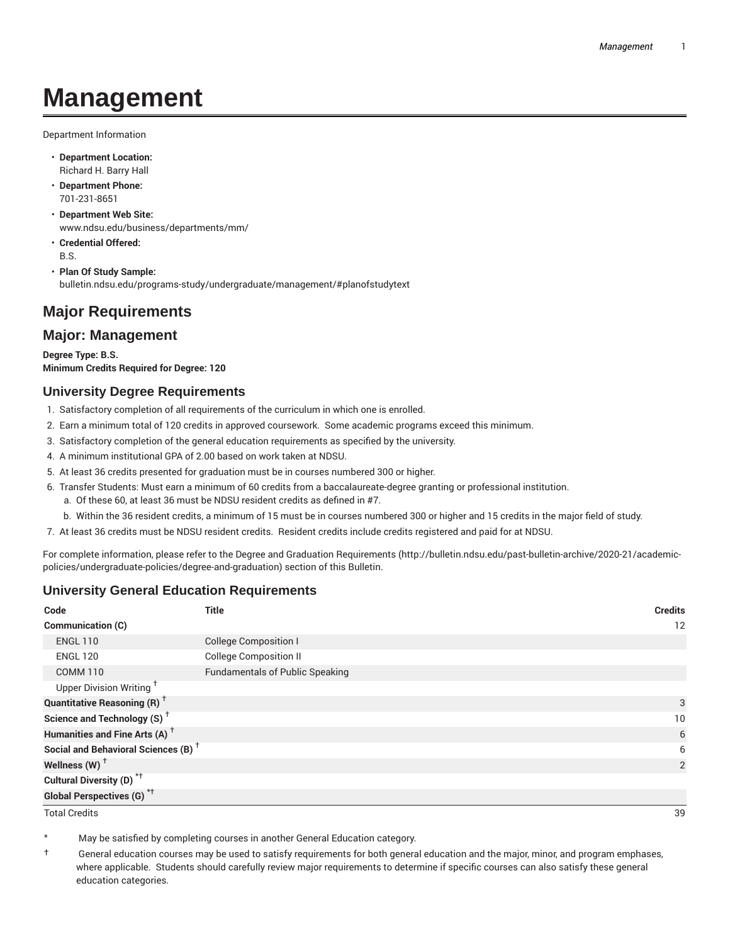# **Management**

Department Information

- **Department Location:** Richard H. Barry Hall
- **Department Phone:** 701-231-8651
- **Department Web Site:** www.ndsu.edu/business/departments/mm/
- **Credential Offered:** B.S.
- **Plan Of Study Sample:** bulletin.ndsu.edu/programs-study/undergraduate/management/#planofstudytext

## **Major Requirements**

### **Major: Management**

**Degree Type: B.S. Minimum Credits Required for Degree: 120**

#### **University Degree Requirements**

- 1. Satisfactory completion of all requirements of the curriculum in which one is enrolled.
- 2. Earn a minimum total of 120 credits in approved coursework. Some academic programs exceed this minimum.
- 3. Satisfactory completion of the general education requirements as specified by the university.
- 4. A minimum institutional GPA of 2.00 based on work taken at NDSU.
- 5. At least 36 credits presented for graduation must be in courses numbered 300 or higher.
- 6. Transfer Students: Must earn a minimum of 60 credits from a baccalaureate-degree granting or professional institution.
	- a. Of these 60, at least 36 must be NDSU resident credits as defined in #7.
	- b. Within the 36 resident credits, a minimum of 15 must be in courses numbered 300 or higher and 15 credits in the major field of study.
- 7. At least 36 credits must be NDSU resident credits. Resident credits include credits registered and paid for at NDSU.

For complete information, please refer to the Degree and Graduation Requirements (http://bulletin.ndsu.edu/past-bulletin-archive/2020-21/academicpolicies/undergraduate-policies/degree-and-graduation) section of this Bulletin.

#### **University General Education Requirements**

| Code                                            | <b>Title</b>                           | <b>Credits</b> |
|-------------------------------------------------|----------------------------------------|----------------|
| Communication (C)                               |                                        | 12             |
| <b>ENGL 110</b>                                 | <b>College Composition I</b>           |                |
| <b>ENGL 120</b>                                 | <b>College Composition II</b>          |                |
| <b>COMM 110</b>                                 | <b>Fundamentals of Public Speaking</b> |                |
| Upper Division Writing <sup>+</sup>             |                                        |                |
| <b>Quantitative Reasoning (R)</b> <sup>†</sup>  |                                        | 3              |
| Science and Technology (S) <sup>+</sup>         |                                        | 10             |
| Humanities and Fine Arts (A) <sup>+</sup>       |                                        | 6              |
| Social and Behavioral Sciences (B) <sup>+</sup> |                                        | 6              |
| Wellness $(W)$ <sup>+</sup>                     |                                        | 2              |
| Cultural Diversity (D) <sup>*†</sup>            |                                        |                |
| <b>Global Perspectives (G)<sup>*†</sup></b>     |                                        |                |

Total Credits 39

May be satisfied by completing courses in another General Education category.

† General education courses may be used to satisfy requirements for both general education and the major, minor, and program emphases, where applicable. Students should carefully review major requirements to determine if specific courses can also satisfy these general education categories.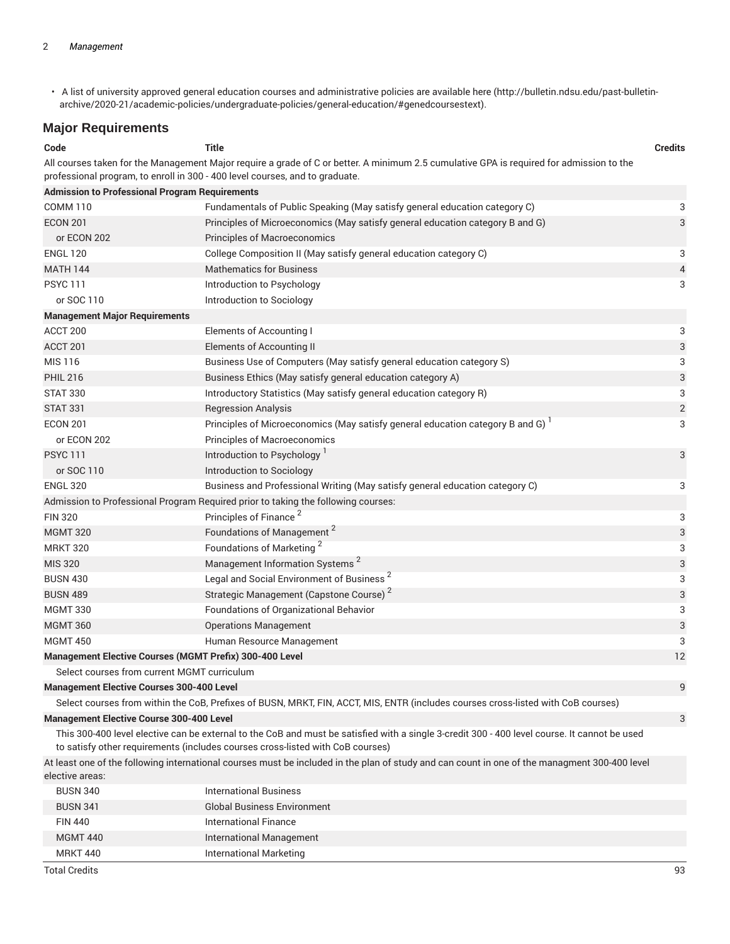• A list of university approved general education courses and administrative policies are available here (http://bulletin.ndsu.edu/past-bulletinarchive/2020-21/academic-policies/undergraduate-policies/general-education/#genedcoursestext).

#### **Major Requirements**

| Code                                                                                                   | <b>Title</b>                                                                                                                                                                                                                    | <b>Credits</b> |
|--------------------------------------------------------------------------------------------------------|---------------------------------------------------------------------------------------------------------------------------------------------------------------------------------------------------------------------------------|----------------|
|                                                                                                        | All courses taken for the Management Major require a grade of C or better. A minimum 2.5 cumulative GPA is required for admission to the<br>professional program, to enroll in 300 - 400 level courses, and to graduate.        |                |
| <b>Admission to Professional Program Requirements</b>                                                  |                                                                                                                                                                                                                                 |                |
| <b>COMM 110</b>                                                                                        | Fundamentals of Public Speaking (May satisfy general education category C)                                                                                                                                                      | 3              |
| <b>ECON 201</b>                                                                                        | Principles of Microeconomics (May satisfy general education category B and G)                                                                                                                                                   | 3              |
| or ECON 202                                                                                            | Principles of Macroeconomics                                                                                                                                                                                                    |                |
| <b>ENGL 120</b>                                                                                        | College Composition II (May satisfy general education category C)                                                                                                                                                               | 3              |
| <b>MATH 144</b>                                                                                        | <b>Mathematics for Business</b>                                                                                                                                                                                                 | 4              |
| <b>PSYC 111</b>                                                                                        | Introduction to Psychology                                                                                                                                                                                                      | 3              |
| or SOC 110                                                                                             | Introduction to Sociology                                                                                                                                                                                                       |                |
| <b>Management Major Requirements</b>                                                                   |                                                                                                                                                                                                                                 |                |
| ACCT 200                                                                                               | <b>Elements of Accounting I</b>                                                                                                                                                                                                 | 3              |
| ACCT 201                                                                                               | Elements of Accounting II                                                                                                                                                                                                       | 3              |
| MIS 116                                                                                                | Business Use of Computers (May satisfy general education category S)                                                                                                                                                            | 3              |
| <b>PHIL 216</b>                                                                                        | Business Ethics (May satisfy general education category A)                                                                                                                                                                      | 3              |
| <b>STAT 330</b>                                                                                        | Introductory Statistics (May satisfy general education category R)                                                                                                                                                              | 3              |
| <b>STAT 331</b>                                                                                        | <b>Regression Analysis</b>                                                                                                                                                                                                      | $\overline{2}$ |
| <b>ECON 201</b>                                                                                        | Principles of Microeconomics (May satisfy general education category B and G) <sup>1</sup>                                                                                                                                      | 3              |
| or ECON 202                                                                                            | Principles of Macroeconomics                                                                                                                                                                                                    |                |
| <b>PSYC 111</b>                                                                                        | Introduction to Psychology                                                                                                                                                                                                      | 3              |
| or SOC 110                                                                                             | Introduction to Sociology                                                                                                                                                                                                       |                |
| <b>ENGL 320</b>                                                                                        | Business and Professional Writing (May satisfy general education category C)                                                                                                                                                    | 3              |
|                                                                                                        | Admission to Professional Program Required prior to taking the following courses:                                                                                                                                               |                |
| <b>FIN 320</b>                                                                                         | Principles of Finance <sup>2</sup>                                                                                                                                                                                              | 3              |
| <b>MGMT 320</b>                                                                                        | Foundations of Management <sup>2</sup>                                                                                                                                                                                          | 3              |
| <b>MRKT 320</b>                                                                                        | Foundations of Marketing <sup>2</sup>                                                                                                                                                                                           | 3              |
| <b>MIS 320</b>                                                                                         | Management Information Systems <sup>2</sup>                                                                                                                                                                                     | 3              |
| <b>BUSN 430</b>                                                                                        | Legal and Social Environment of Business <sup>2</sup>                                                                                                                                                                           | 3              |
| <b>BUSN 489</b>                                                                                        | Strategic Management (Capstone Course) <sup>2</sup>                                                                                                                                                                             | 3              |
| <b>MGMT 330</b>                                                                                        | Foundations of Organizational Behavior                                                                                                                                                                                          | 3              |
| <b>MGMT 360</b>                                                                                        | <b>Operations Management</b>                                                                                                                                                                                                    | 3              |
| <b>MGMT 450</b>                                                                                        | Human Resource Management                                                                                                                                                                                                       | 3              |
| Management Elective Courses (MGMT Prefix) 300-400 Level<br>Select courses from current MGMT curriculum |                                                                                                                                                                                                                                 | 12             |
| <b>Management Elective Courses 300-400 Level</b>                                                       |                                                                                                                                                                                                                                 | 9              |
|                                                                                                        | Select courses from within the CoB, Prefixes of BUSN, MRKT, FIN, ACCT, MIS, ENTR (includes courses cross-listed with CoB courses)                                                                                               |                |
| <b>Management Elective Course 300-400 Level</b>                                                        |                                                                                                                                                                                                                                 | 3              |
|                                                                                                        | This 300-400 level elective can be external to the CoB and must be satisfied with a single 3-credit 300 - 400 level course. It cannot be used<br>to satisfy other requirements (includes courses cross-listed with CoB courses) |                |
| elective areas:                                                                                        | At least one of the following international courses must be included in the plan of study and can count in one of the managment 300-400 level                                                                                   |                |
| <b>BUSN 340</b>                                                                                        | <b>International Business</b>                                                                                                                                                                                                   |                |
| <b>BUSN 341</b>                                                                                        | <b>Global Business Environment</b>                                                                                                                                                                                              |                |
| <b>FIN 440</b>                                                                                         | <b>International Finance</b>                                                                                                                                                                                                    |                |
| <b>MGMT 440</b>                                                                                        | <b>International Management</b>                                                                                                                                                                                                 |                |

Total Credits 93

MRKT 440 **International Marketing**